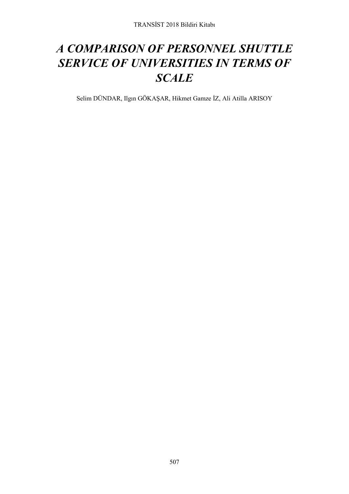# *A COMPARISON OF PERSONNEL SHUTTLE SERVICE OF UNIVERSITIES IN TERMS OF SCALE*

Selim DÜNDAR, Ilgın GÖKAŞAR, Hikmet Gamze İZ, Ali Atilla ARISOY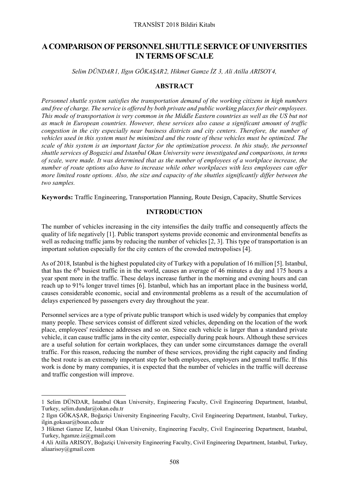## **A COMPARISON OF PERSONNEL SHUTTLE SERVICE OF UNIVERSITIES IN TERMS OF SCALE**

*Selim DÜNDAR[1](#page-1-0), Ilgın GÖKAŞAR[2](#page-1-1), Hikmet Gamze İZ [3](#page-1-2), Ali Atilla ARISOY[4](#page-1-3),*

## **ABSTRACT**

*Personnel shuttle system satisfies the transportation demand of the working citizens in high numbers and free of charge. The service is offered by both private and public working places for their employees. This mode of transportation is very common in the Middle Eastern countries as well as the US but not as much in European countries. However, these services also cause a significant amount of traffic congestion in the city especially near business districts and city centers. Therefore, the number of vehicles used in this system must be minimized and the route of these vehicles must be optimized. The scale of this system is an important factor for the optimization process. In this study, the personnel shuttle services of Bogazici and Istanbul Okan University were investigated and comparisons, in terms of scale, were made. It was determined that as the number of employees of a workplace increase, the number of route options also have to increase while other workplaces with less employees can offer more limited route options. Also, the size and capacity of the shuttles significantly differ between the two samples.* 

**Keywords:** Traffic Engineering, Transportation Planning, Route Design, Capacity, Shuttle Services

## **INTRODUCTION**

The number of vehicles increasing in the city intensifies the daily traffic and consequently affects the quality of life negatively [1]. Public transport systems provide economic and environmental benefits as well as reducing traffic jams by reducing the number of vehicles [2, 3]. This type of transportation is an important solution especially for the city centers of the crowded metropolises [4].

As of 2018, Istanbul is the highest populated city of Turkey with a population of 16 million [5]. Istanbul, that has the  $6<sup>th</sup>$  busiest traffic in in the world, causes an average of 46 minutes a day and 175 hours a year spent more in the traffic. These delays increase further in the morning and evening hours and can reach up to 91% longer travel times [6]. Istanbul, which has an important place in the business world, causes considerable economic, social and environmental problems as a result of the accumulation of delays experienced by passengers every day throughout the year.

Personnel services are a type of private public transport which is used widely by companies that employ many people. These services consist of different sized vehicles, depending on the location of the work place, employees' residence addresses and so on. Since each vehicle is larger than a standard private vehicle, it can cause traffic jams in the city center, especially during peak hours. Although these services are a useful solution for certain workplaces, they can under some circumstances damage the overall traffic. For this reason, reducing the number of these services, providing the right capacity and finding the best route is an extremely important step for both employees, employers and general traffic. If this work is done by many companies, it is expected that the number of vehicles in the traffic will decrease and traffic congestion will improve.

<span id="page-1-0"></span> $\overline{a}$ 1 Selim DÜNDAR, İstanbul Okan University, Engineering Faculty, Civil Engineering Department, Istanbul, Turkey[, selim.dundar@okan.edu.tr](mailto:selim.dundar@okan.edu.tr)

<span id="page-1-1"></span><sup>2</sup> Ilgın GÖKAŞAR, Boğaziçi University Engineering Faculty, Civil Engineering Department, Istanbul, Turkey, ilgin.gokasar@boun.edu.tr

<span id="page-1-2"></span><sup>3</sup> Hikmet Gamze İZ, İstanbul Okan University, Engineering Faculty, Civil Engineering Department, Istanbul, Turkey[, hgamze.iz@gmail.com](mailto:hgamze.iz@gmail.com)

<span id="page-1-3"></span><sup>4</sup> Ali Atilla ARISOY, Boğaziçi University Engineering Faculty, Civil Engineering Department, Istanbul, Turkey, [aliaarisoy@gmail.com](mailto:aliaarisoy@gmail.com)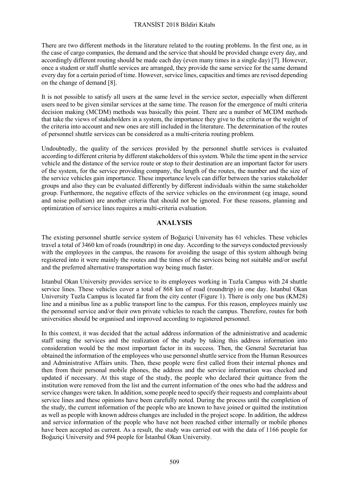### TRANSİST 2018 Bildiri Kitabı

There are two different methods in the literature related to the routing problems. In the first one, as in the case of cargo companies, the demand and the service that should be provided change every day, and accordingly different routing should be made each day (even many times in a single day) [7]. However, once a student or staff shuttle services are arranged, they provide the same service for the same demand every day for a certain period of time. However, service lines, capacities and times are revised depending on the change of demand [8].

It is not possible to satisfy all users at the same level in the service sector, especially when different users need to be given similar services at the same time. The reason for the emergence of multi criteria decision making (MCDM) methods was basically this point. There are a number of MCDM methods that take the views of stakeholders in a system, the importance they give to the criteria or the weight of the criteria into account and new ones are still included in the literature. The determination of the routes of personnel shuttle services can be considered as a multi-criteria routing problem.

Undoubtedly, the quality of the services provided by the personnel shuttle services is evaluated according to different criteria by different stakeholders of this system. While the time spent in the service vehicle and the distance of the service route or stop to their destination are an important factor for users of the system, for the service providing company, the length of the routes, the number and the size of the service vehicles gain importance. These importance levels can differ between the varios stakeholder groups and also they can be evaluated differently by different individuals within the same stakeholder group. Furthermore, the negative effects of the service vehicles on the environment (eg image, sound and noise pollution) are another criteria that should not be ignored. For these reasons, planning and optimization of service lines requires a multi-criteria evaluation.

## **ANALYSIS**

The existing personnel shuttle service system of Boğaziçi University has 61 vehicles. These vehicles travel a total of 3460 km of roads (roundtrip) in one day. According to the surveys conducted previously with the employees in the campus, the reasons for avoiding the usage of this system although being registered into it were mainly the routes and the times of the services being not suitable and/or useful and the preferred alternative transportation way being much faster.

Istanbul Okan University provides service to its employees working in Tuzla Campus with 24 shuttle service lines. These vehicles cover a total of 868 km of road (roundtrip) in one day. Istanbul Okan University Tuzla Campus is located far from the city center (Figure 1). There is only one bus (KM28) line and a minibus line as a public transport line to the campus. For this reason, employees mainly use the personnel service and/or their own private vehicles to reach the campus. Therefore, routes for both universities should be organised and improved according to registered personnel.

In this context, it was decided that the actual address information of the administrative and academic staff using the services and the realization of the study by taking this address information into consideration would be the most important factor in its success. Then, the General Secretariat has obtained the information of the employees who use personnel shuttle service from the Human Resources and Administrative Affairs units. Then, these people were first called from their internal phones and then from their personal mobile phones, the address and the service information was checked and updated if necessary. At this stage of the study, the people who declared their quittance from the institution were removed from the list and the current information of the ones who had the address and service changes were taken. In addition, some people need to specify their requests and complaints about service lines and these opinions have been carefully noted. During the process until the completion of the study, the current information of the people who are known to have joined or quitted the institution as well as people with known address changes are included in the project scope. In addition, the address and service information of the people who have not been reached either internally or mobile phones have been accepted as current. As a result, the study was carried out with the data of 1166 people for Boğaziçi University and 594 people for İstanbul Okan University.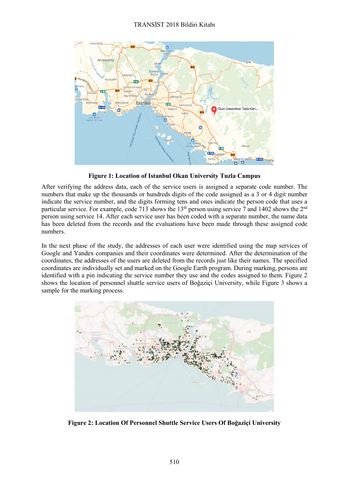

**Figure 1: Location of Istanbul Okan University Tuzla Campus**

After verifying the address data, each of the service users is assigned a separate code number. The numbers that make up the thousands or hundreds digits of the code assigned as a 3 or 4 digit number indicate the service number, and the digits forming tens and ones indicate the person code that uses a particular service. For example, code 713 shows the 13<sup>th</sup> person using service 7 and 1402 shows the 2<sup>nd</sup> person using service 14. After each service user has been coded with a separate number, the name data has been deleted from the records and the evaluations have been made through these assigned code numbers.

In the next phase of the study, the addresses of each user were identified using the map services of Google and Yandex companies and their coordinates were determined. After the determination of the coordinates, the addresses of the users are deleted from the records just like their names. The specified coordinates are individually set and marked on the Google Earth program. During marking, persons are identified with a pin indicating the service number they use and the codes assigned to them. Figure 2 shows the location of personnel shuttle service users of Boğaziçi University, while Figure 3 shows a sample for the marking process.



**Figure 2: Location Of Personnel Shuttle Service Users Of Boğaziçi University**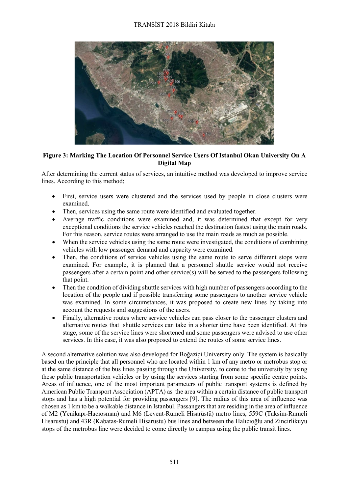

**Figure 3: Marking The Location Of Personnel Service Users Of Istanbul Okan University On A Digital Map**

After determining the current status of services, an intuitive method was developed to improve service lines. According to this method;

- First, service users were clustered and the services used by people in close clusters were examined.
- Then, services using the same route were identified and evaluated together.
- Average traffic conditions were examined and, it was determined that except for very exceptional conditions the service vehicles reached the destination fastest using the main roads. For this reason, service routes were arranged to use the main roads as much as possible.
- When the service vehicles using the same route were investigated, the conditions of combining vehicles with low passenger demand and capacity were examined.
- Then, the conditions of service vehicles using the same route to serve different stops were examined. For example, it is planned that a personnel shuttle service would not receive passengers after a certain point and other service(s) will be served to the passengers following that point.
- Then the condition of dividing shuttle services with high number of passengers according to the location of the people and if possible transferring some passengers to another service vehicle was examined. In some circumstances, it was proposed to create new lines by taking into account the requests and suggestions of the users.
- Finally, alternative routes where service vehicles can pass closer to the passenger clusters and alternative routes that shuttle services can take in a shorter time have been identified. At this stage, some of the service lines were shortened and some passengers were advised to use other services. In this case, it was also proposed to extend the routes of some service lines.

A second alternative solution was also developed for Boğaziçi University only. The system is basically based on the principle that all personnel who are located within 1 km of any metro or metrobus stop or at the same distance of the bus lines passing through the University, to come to the university by using these public transportation vehicles or by using the services starting from some specific centre points. Areas of influence, one of the most important parameters of public transport systems is defined by American Public Transport Association (APTA) as the area within a certain distance of public transport stops and has a high potential for providing passengers [9]. The radius of this area of influence was chosen as 1 km to be a walkable distance in Istanbul. Passangers that are residing in the area of influence of M2 (Yenikapı-Hacıosman) and M6 (Levent-Rumeli Hisarüstü) metro lines, 559C (Taksim-Rumeli Hisarustu) and 43R (Kabatas-Rumeli Hisarustu) bus lines and between the Halıcıoğlu and Zincirlikuyu stops of the metrobus line were decided to come directly to campus using the public transit lines.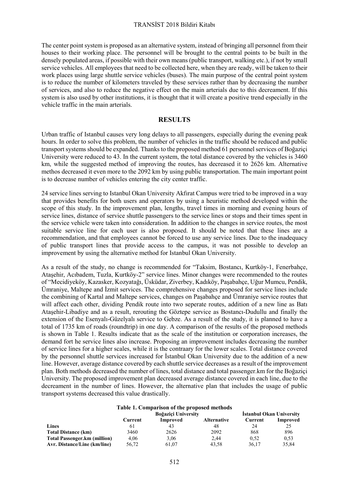#### TRANSİST 2018 Bildiri Kitabı

The center point system is proposed as an alternative system, instead of bringing all personnel from their houses to their working place. The personnel will be brought to the central points to be built in the densely populated areas, if possible with their own means (public transport, walking etc.), if not by small service vehicles. All employees that need to be collected here, when they are ready, will be taken to their work places using large shuttle service vehicles (buses). The main purpose of the central point system is to reduce the number of kilometers traveled by these services rather than by decreasing the number of services, and also to reduce the negative effect on the main arterials due to this decreament. If this system is also used by other institutions, it is thought that it will create a positive trend especially in the vehicle traffic in the main arterials.

## **RESULTS**

Urban traffic of Istanbul causes very long delays to all passengers, especially during the evening peak hours. In order to solve this problem, the number of vehicles in the traffic should be reduced and public transport systems should be expanded. Thanks to the proposed method 61 personnel services of Boğaziçi University were reduced to 43. In the current system, the total distance covered by the vehicles is 3460 km, while the suggested method of improving the routes, has decreased it to 2626 km. Alternative methos decreased it even more to the 2092 km by using public transportation. The main important point is to decrease number of vehicles entering the city center traffic.

24 service lines serving to Istanbul Okan University Akfırat Campus were tried to be improved in a way that provides benefits for both users and operators by using a heuristic method developed within the scope of this study. In the improvement plan, lengths, travel times in morning and evening hours of service lines, distance of service shuttle passengers to the service lines or stops and their times spent in the service vehicle were taken into consideration. In addition to the changes in service routes, the most suitable service line for each user is also proposed. It should be noted that these lines are a recommendation, and that employees cannot be forced to use any service lines. Due to the inadequacy of public transport lines that provide access to the campus, it was not possible to develop an improvement by using the alternative method for Istanbul Okan University.

As a result of the study, no change is recommended for "Taksim, Bostancı, Kurtköy-1, Fenerbahçe, Ataşehir, Acıbadem, Tuzla, Kurtköy-2" service lines. Minor changes were recommended to the routes of "Mecidiyeköy, Kazasker, Kozyatağı, Üsküdar, Ziverbey, Kadıköy, Paşabahçe, Uğur Mumcu, Pendik, Ümraniye, Maltepe and İzmit services. The comprehensive changes proposed for service lines include the combining of Kartal and Maltepe services, changes on Paşabahçe and Ümraniye service routes that will affect each other, dividing Pendik route into two seperate routes, addition of a new line as Batı Ataşehir-Libadiye and as a result, rerouting the Göztepe service as Bostancı-Dudullu and finally the extension of the Esenyalı-Güzelyalı service to Gebze. As a result of the study, it is planned to have a total of 1735 km of roads (roundtrip) in one day. A comparison of the results of the proposed methods is shown in Table 1. Results indicate that as the scale of the institution or corporation increases, the demand fort he service lines also increase. Proposing an improvement includes decreasing the number of service lines for a higher scales, while it is the contraary for the lower scales. Total distance covered by the personnel shuttle services increased for İstanbul Okan University due to the addition of a new line. However, average distance covered by each shuttle service decreases as a result of the improvement plan. Both methods decreased the number of lines, total distance and total passenger.km for the Boğaziçi University. The proposed improvement plan decreased average distance covered in each line, due to the decreament in the number of lines. However, the alternative plan that includes the usage of public transport systems decreased this value drastically.

#### **Table 1. Comparison of the proposed methods**

|                                     | Boğaziçi University |          |                    | Istanbul Okan University |          |
|-------------------------------------|---------------------|----------|--------------------|--------------------------|----------|
|                                     | Current             | Improved | <b>Alternative</b> | Current                  | Improved |
| Lines                               |                     |          | 48                 | 24                       |          |
| <b>Total Distance (km)</b>          | 3460                | 2626     | 2092               | 868                      | 896      |
| <b>Total Passenger.km (million)</b> | 4.06                | 3.06     | 2.44               | 0.52                     | 0.53     |
| Avr. Distance/Line (km/line)        | 56,72               | 61.07    | 43.58              | 36.17                    | 35.84    |